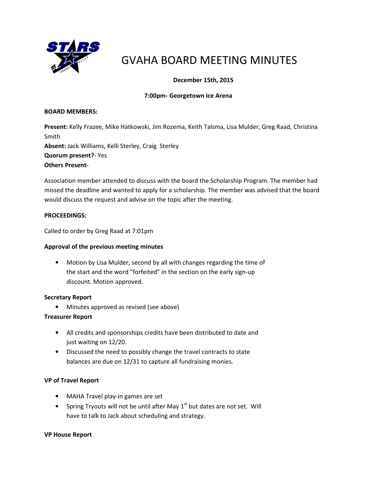

# GVAHA BOARD MEETING MINUTES

## December 15th, 2015

### 7:00pm- Georgetown Ice Arena

#### BOARD MEMBERS:

Present: Kelly Frazee, Mike Hatkowski, Jim Rozema, Keith Talsma, Lisa Mulder, Greg Raad, Christina Smith Absent: Jack Williams, Kelli Sterley, Craig Sterley Quorum present?- Yes Others Present-

Association member attended to discuss with the board the Scholarship Program. The member had missed the deadline and wanted to apply for a scholarship. The member was advised that the board would discuss the request and advise on the topic after the meeting.

#### PROCEEDINGS:

Called to order by Greg Raad at 7:01pm

#### Approval of the previous meeting minutes

• Motion by Lisa Mulder, second by all with changes regarding the time of the start and the word "forfeited" in the section on the early sign-up discount. Motion approved.

#### Secretary Report

• Minutes approved as revised (see above)

#### Treasurer Report

- All credits and sponsorships credits have been distributed to date and just waiting on 12/20.
- Discussed the need to possibly change the travel contracts to state balances are due on 12/31 to capture all fundraising monies.

#### VP of Travel Report

- MAHA Travel play-in games are set
- Spring Tryouts will not be until after May  $1<sup>st</sup>$  but dates are not set. Will have to talk to Jack about scheduling and strategy.

#### VP House Report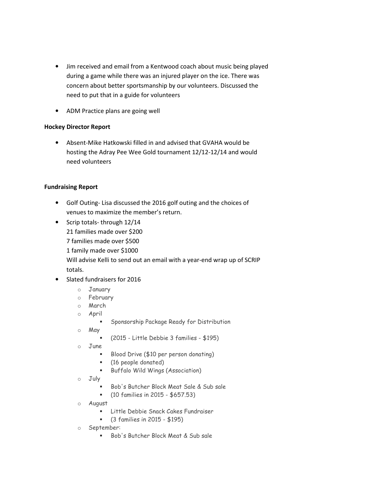- Jim received and email from a Kentwood coach about music being played during a game while there was an injured player on the ice. There was concern about better sportsmanship by our volunteers. Discussed the need to put that in a guide for volunteers
- ADM Practice plans are going well

#### Hockey Director Report

• Absent-Mike Hatkowski filled in and advised that GVAHA would be hosting the Adray Pee Wee Gold tournament 12/12-12/14 and would need volunteers

#### Fundraising Report

- Golf Outing- Lisa discussed the 2016 golf outing and the choices of venues to maximize the member's return.
- Scrip totals- through 12/14 21 families made over \$200
	-
	- 7 families made over \$500
	- 1 family made over \$1000

Will advise Kelli to send out an email with a year-end wrap up of SCRIP totals.

- Slated fundraisers for 2016
	- o January
	- o February
	- o March
	- o April
		- **Sponsorship Package Ready for Distribution**
	- o May
		- (2015 Little Debbie 3 families \$195)
	- o June
		- Blood Drive (\$10 per person donating)
		- (16 people donated)
		- **Buffalo Wild Wings (Association)**
	- o July
		- Bob's Butcher Block Meat Sale & Sub sale
		- (10 families in 2015 \$657.53)
	- o August
		- **E.** Little Debbie Snack Cakes Fundraiser
		- (3 families in 2015 \$195)
	- o September:
		- Bob's Butcher Block Meat & Sub sale